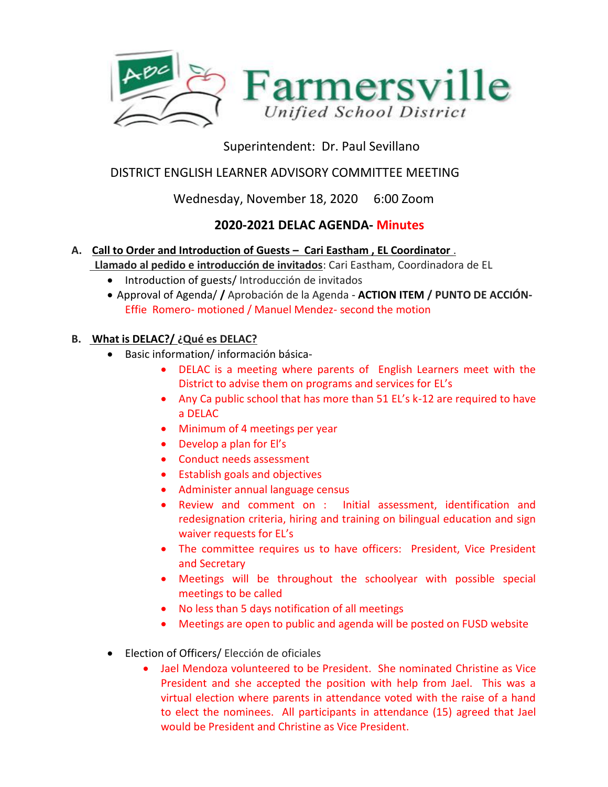

# Superintendent: Dr. Paul Sevillano

## DISTRICT ENGLISH LEARNER ADVISORY COMMITTEE MEETING

## Wednesday, November 18, 2020 6:00 Zoom

## **2020-2021 DELAC AGENDA- Minutes**

### **A. Call to Order and Introduction of Guests – Cari Eastham , EL Coordinator** . **Llamado al pedido e introducción de invitados**: Cari Eastham, Coordinadora de EL

- Introduction of guests/ Introducción de invitados
- Approval of Agenda/ **/** Aprobación de la Agenda **ACTION ITEM / PUNTO DE ACCIÓN-**Effie Romero- motioned / Manuel Mendez- second the motion

### **B. What is DELAC?/ ¿Qué es DELAC?**

- Basic information/ información básica-
	- DELAC is a meeting where parents of English Learners meet with the District to advise them on programs and services for EL's
	- Any Ca public school that has more than 51 EL's k-12 are required to have a DELAC
	- Minimum of 4 meetings per year
	- Develop a plan for El's
	- Conduct needs assessment
	- Establish goals and objectives
	- Administer annual language census
	- Review and comment on : Initial assessment, identification and redesignation criteria, hiring and training on bilingual education and sign waiver requests for EL's
	- The committee requires us to have officers: President, Vice President and Secretary
	- Meetings will be throughout the schoolyear with possible special meetings to be called
	- No less than 5 days notification of all meetings
	- Meetings are open to public and agenda will be posted on FUSD website
- Election of Officers/ Elección de oficiales
	- Jael Mendoza volunteered to be President. She nominated Christine as Vice President and she accepted the position with help from Jael. This was a virtual election where parents in attendance voted with the raise of a hand to elect the nominees. All participants in attendance (15) agreed that Jael would be President and Christine as Vice President.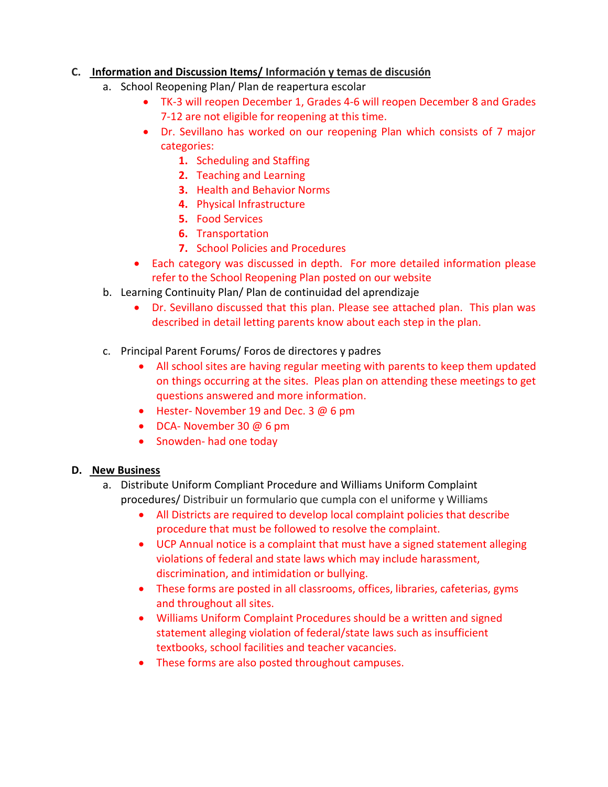#### **C. Information and Discussion Items/ Información y temas de discusión**

- a. School Reopening Plan/ Plan de reapertura escolar
	- TK-3 will reopen December 1, Grades 4-6 will reopen December 8 and Grades 7-12 are not eligible for reopening at this time.
	- Dr. Sevillano has worked on our reopening Plan which consists of 7 major categories:
		- **1.** Scheduling and Staffing
		- **2.** Teaching and Learning
		- **3.** Health and Behavior Norms
		- **4.** Physical Infrastructure
		- **5.** Food Services
		- **6.** Transportation
		- **7.** School Policies and Procedures
	- Each category was discussed in depth. For more detailed information please refer to the School Reopening Plan posted on our website
- b. Learning Continuity Plan/ Plan de continuidad del aprendizaje
	- Dr. Sevillano discussed that this plan. Please see attached plan. This plan was described in detail letting parents know about each step in the plan.
- c. Principal Parent Forums/ Foros de directores y padres
	- All school sites are having regular meeting with parents to keep them updated on things occurring at the sites. Pleas plan on attending these meetings to get questions answered and more information.
	- Hester- November 19 and Dec. 3 @ 6 pm
	- DCA- November 30 @ 6 pm
	- Snowden- had one today

### **D. New Business**

- a. Distribute Uniform Compliant Procedure and Williams Uniform Complaint procedures/ Distribuir un formulario que cumpla con el uniforme y Williams
	- All Districts are required to develop local complaint policies that describe procedure that must be followed to resolve the complaint.
	- UCP Annual notice is a complaint that must have a signed statement alleging violations of federal and state laws which may include harassment, discrimination, and intimidation or bullying.
	- These forms are posted in all classrooms, offices, libraries, cafeterias, gyms and throughout all sites.
	- Williams Uniform Complaint Procedures should be a written and signed statement alleging violation of federal/state laws such as insufficient textbooks, school facilities and teacher vacancies.
	- These forms are also posted throughout campuses.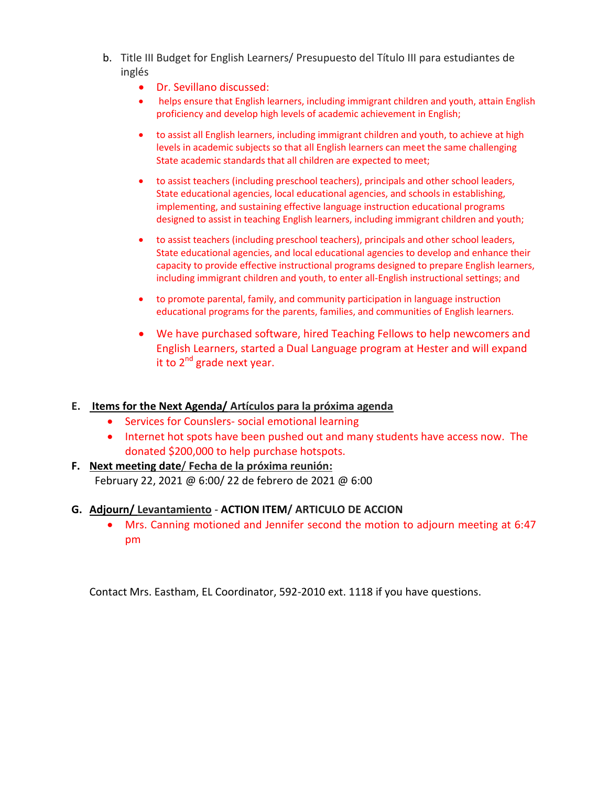- b. Title III Budget for English Learners/ Presupuesto del Título III para estudiantes de inglés
	- Dr. Sevillano discussed:
	- helps ensure that English learners, including immigrant children and youth, attain English proficiency and develop high levels of academic achievement in English;
	- to assist all English learners, including immigrant children and youth, to achieve at high levels in academic subjects so that all English learners can meet the same challenging State academic standards that all children are expected to meet;
	- to assist teachers (including preschool teachers), principals and other school leaders, State educational agencies, local educational agencies, and schools in establishing, implementing, and sustaining effective language instruction educational programs designed to assist in teaching English learners, including immigrant children and youth;
	- to assist teachers (including preschool teachers), principals and other school leaders, State educational agencies, and local educational agencies to develop and enhance their capacity to provide effective instructional programs designed to prepare English learners, including immigrant children and youth, to enter all-English instructional settings; and
	- to promote parental, family, and community participation in language instruction educational programs for the parents, families, and communities of English learners.
	- We have purchased software, hired Teaching Fellows to help newcomers and English Learners, started a Dual Language program at Hester and will expand it to  $2^{nd}$  grade next year.

### **E. Items for the Next Agenda/ Artículos para la próxima agenda**

- Services for Counslers- social emotional learning
- Internet hot spots have been pushed out and many students have access now. The donated \$200,000 to help purchase hotspots.
- **F. Next meeting date**/ **Fecha de la próxima reunión:**  February 22, 2021 @ 6:00/ 22 de febrero de 2021 @ 6:00

#### **G. Adjourn/ Levantamiento** - **ACTION ITEM/ ARTICULO DE ACCION**

 Mrs. Canning motioned and Jennifer second the motion to adjourn meeting at 6:47 pm

Contact Mrs. Eastham, EL Coordinator, 592-2010 ext. 1118 if you have questions.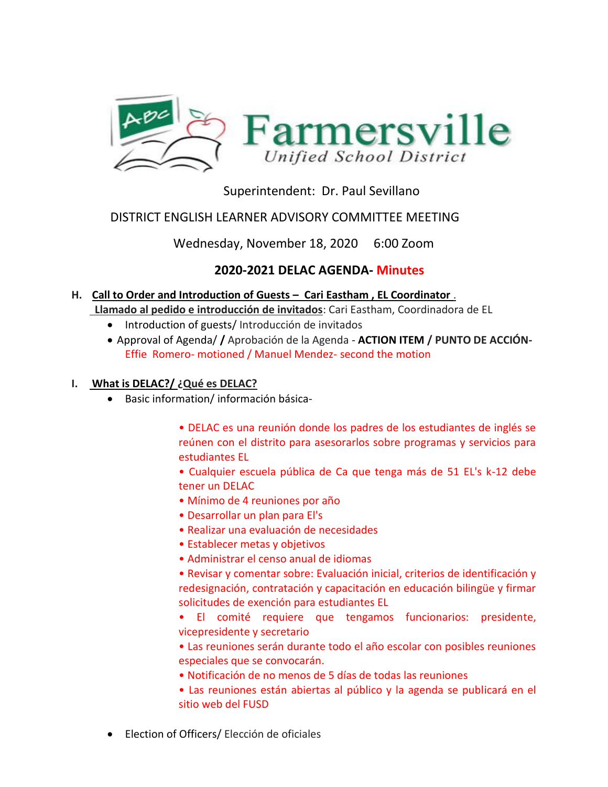

## Superintendent: Dr. Paul Sevillano

### DISTRICT ENGLISH LEARNER ADVISORY COMMITTEE MEETING

Wednesday, November 18, 2020 6:00 Zoom

## **2020-2021 DELAC AGENDA- Minutes**

### **H. Call to Order and Introduction of Guests – Cari Eastham , EL Coordinator** .

**Llamado al pedido e introducción de invitados**: Cari Eastham, Coordinadora de EL

- Introduction of guests/Introducción de invitados
- Approval of Agenda/ **/** Aprobación de la Agenda **ACTION ITEM / PUNTO DE ACCIÓN-**Effie Romero- motioned / Manuel Mendez- second the motion

### **I. What is DELAC?/ ¿Qué es DELAC?**

Basic information/ información básica-

• DELAC es una reunión donde los padres de los estudiantes de inglés se reúnen con el distrito para asesorarlos sobre programas y servicios para estudiantes EL

• Cualquier escuela pública de Ca que tenga más de 51 EL's k-12 debe tener un DELAC

- Mínimo de 4 reuniones por año
- Desarrollar un plan para El's
- Realizar una evaluación de necesidades
- Establecer metas y objetivos
- Administrar el censo anual de idiomas

• Revisar y comentar sobre: Evaluación inicial, criterios de identificación y redesignación, contratación y capacitación en educación bilingüe y firmar solicitudes de exención para estudiantes EL

• El comité requiere que tengamos funcionarios: presidente, vicepresidente y secretario

• Las reuniones serán durante todo el año escolar con posibles reuniones especiales que se convocarán.

- Notificación de no menos de 5 días de todas las reuniones
- Las reuniones están abiertas al público y la agenda se publicará en el sitio web del FUSD
- Election of Officers/ Elección de oficiales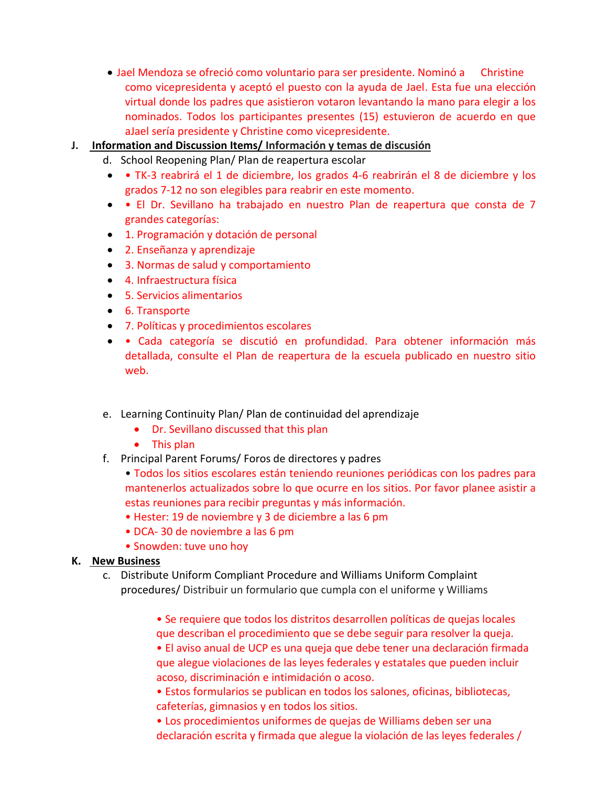- Jael Mendoza se ofreció como voluntario para ser presidente. Nominó a Christine como vicepresidenta y aceptó el puesto con la ayuda de Jael. Esta fue una elección virtual donde los padres que asistieron votaron levantando la mano para elegir a los nominados. Todos los participantes presentes (15) estuvieron de acuerdo en que aJael sería presidente y Christine como vicepresidente.
- **J. Information and Discussion Items/ Información y temas de discusión**
	- d. School Reopening Plan/ Plan de reapertura escolar
	- TK-3 reabrirá el 1 de diciembre, los grados 4-6 reabrirán el 8 de diciembre y los grados 7-12 no son elegibles para reabrir en este momento.
	- El Dr. Sevillano ha trabajado en nuestro Plan de reapertura que consta de 7 grandes categorías:
	- 1. Programación y dotación de personal
	- 2. Enseñanza y aprendizaje
	- 3. Normas de salud y comportamiento
	- 4. Infraestructura física
	- 5. Servicios alimentarios
	- 6. Transporte
	- 7. Políticas y procedimientos escolares
	- Cada categoría se discutió en profundidad. Para obtener información más detallada, consulte el Plan de reapertura de la escuela publicado en nuestro sitio web.
	- e. Learning Continuity Plan/ Plan de continuidad del aprendizaje
		- Dr. Sevillano discussed that this plan
		- This plan
	- f. Principal Parent Forums/ Foros de directores y padres
		- Todos los sitios escolares están teniendo reuniones periódicas con los padres para mantenerlos actualizados sobre lo que ocurre en los sitios. Por favor planee asistir a estas reuniones para recibir preguntas y más información.
		- Hester: 19 de noviembre y 3 de diciembre a las 6 pm
		- DCA- 30 de noviembre a las 6 pm
		- Snowden: tuve uno hoy

### **K. New Business**

- c. Distribute Uniform Compliant Procedure and Williams Uniform Complaint procedures/ Distribuir un formulario que cumpla con el uniforme y Williams
	- Se requiere que todos los distritos desarrollen políticas de quejas locales que describan el procedimiento que se debe seguir para resolver la queja.
	- El aviso anual de UCP es una queja que debe tener una declaración firmada que alegue violaciones de las leyes federales y estatales que pueden incluir acoso, discriminación e intimidación o acoso.
	- Estos formularios se publican en todos los salones, oficinas, bibliotecas, cafeterías, gimnasios y en todos los sitios.
	- Los procedimientos uniformes de quejas de Williams deben ser una declaración escrita y firmada que alegue la violación de las leyes federales /